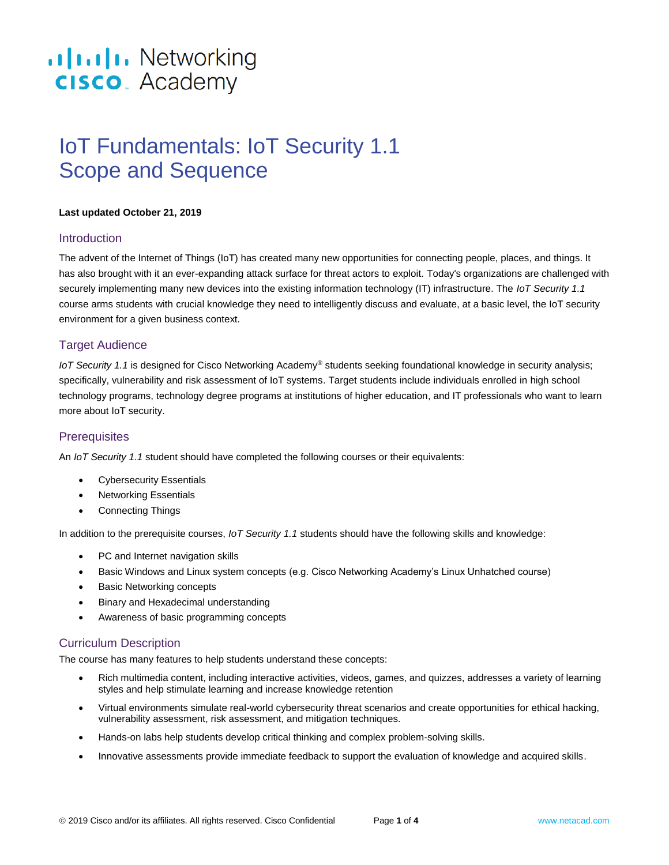# .**Ili.Ili.** Networking **CISCO**. Academy

## IoT Fundamentals: IoT Security 1.1 Scope and Sequence

#### **Last updated October 21, 2019**

## **Introduction**

The advent of the Internet of Things (IoT) has created many new opportunities for connecting people, places, and things. It has also brought with it an ever-expanding attack surface for threat actors to exploit. Today's organizations are challenged with securely implementing many new devices into the existing information technology (IT) infrastructure. The *IoT Security 1.1* course arms students with crucial knowledge they need to intelligently discuss and evaluate, at a basic level, the IoT security environment for a given business context.

## Target Audience

*IoT Security 1.1* is designed for Cisco Networking Academy® students seeking foundational knowledge in security analysis; specifically, vulnerability and risk assessment of IoT systems. Target students include individuals enrolled in high school technology programs, technology degree programs at institutions of higher education, and IT professionals who want to learn more about IoT security.

## **Prerequisites**

An *IoT Security 1.1* student should have completed the following courses or their equivalents:

- **Cybersecurity Essentials**
- Networking Essentials
- Connecting Things

In addition to the prerequisite courses, *IoT Security 1.1* students should have the following skills and knowledge:

- PC and Internet navigation skills
- Basic Windows and Linux system concepts (e.g. Cisco Networking Academy's Linux Unhatched course)
- Basic Networking concepts
- Binary and Hexadecimal understanding
- Awareness of basic programming concepts

## Curriculum Description

The course has many features to help students understand these concepts:

- Rich multimedia content, including interactive activities, videos, games, and quizzes, addresses a variety of learning styles and help stimulate learning and increase knowledge retention
- Virtual environments simulate real-world cybersecurity threat scenarios and create opportunities for ethical hacking, vulnerability assessment, risk assessment, and mitigation techniques.
- Hands-on labs help students develop critical thinking and complex problem-solving skills.
- Innovative assessments provide immediate feedback to support the evaluation of knowledge and acquired skills.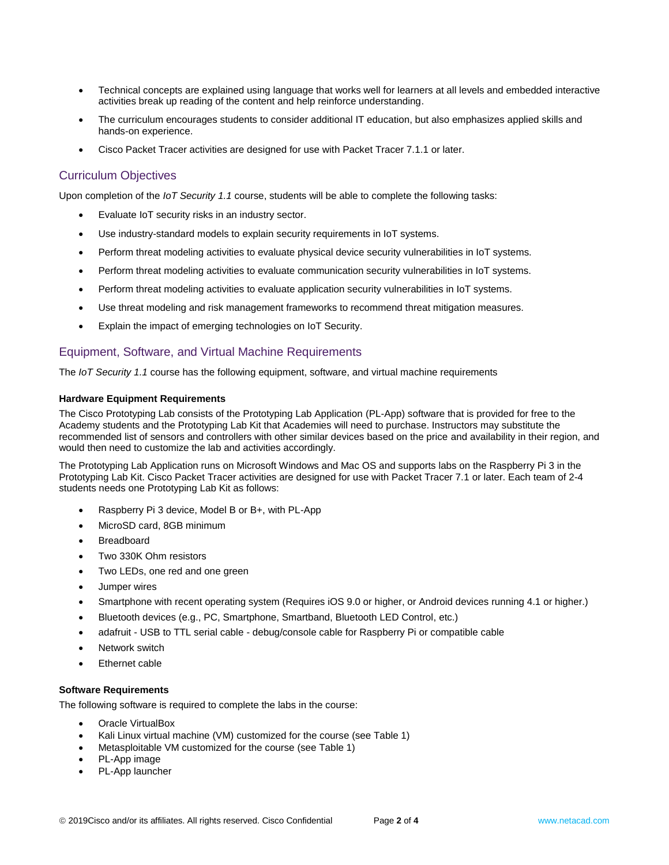- Technical concepts are explained using language that works well for learners at all levels and embedded interactive activities break up reading of the content and help reinforce understanding.
- The curriculum encourages students to consider additional IT education, but also emphasizes applied skills and hands-on experience.
- Cisco Packet Tracer activities are designed for use with Packet Tracer 7.1.1 or later.

## Curriculum Objectives

Upon completion of the *IoT Security 1.1* course, students will be able to complete the following tasks:

- Evaluate IoT security risks in an industry sector.
- Use industry-standard models to explain security requirements in IoT systems.
- Perform threat modeling activities to evaluate physical device security vulnerabilities in IoT systems.
- Perform threat modeling activities to evaluate communication security vulnerabilities in IoT systems.
- Perform threat modeling activities to evaluate application security vulnerabilities in IoT systems.
- Use threat modeling and risk management frameworks to recommend threat mitigation measures.
- Explain the impact of emerging technologies on IoT Security.

## Equipment, Software, and Virtual Machine Requirements

The *IoT Security 1.1* course has the following equipment, software, and virtual machine requirements

#### **Hardware Equipment Requirements**

The Cisco Prototyping Lab consists of the Prototyping Lab Application (PL-App) software that is provided for free to the Academy students and the Prototyping Lab Kit that Academies will need to purchase. Instructors may substitute the recommended list of sensors and controllers with other similar devices based on the price and availability in their region, and would then need to customize the lab and activities accordingly.

The Prototyping Lab Application runs on Microsoft Windows and Mac OS and supports labs on the Raspberry Pi 3 in the Prototyping Lab Kit. Cisco Packet Tracer activities are designed for use with Packet Tracer 7.1 or later. Each team of 2-4 students needs one Prototyping Lab Kit as follows:

- Raspberry Pi 3 device, Model B or B+, with PL-App
- MicroSD card, 8GB minimum
- **Breadboard**
- Two 330K Ohm resistors
- Two LEDs, one red and one green
- Jumper wires
- Smartphone with recent operating system (Requires iOS 9.0 or higher, or Android devices running 4.1 or higher.)
- Bluetooth devices (e.g., PC, Smartphone, Smartband, Bluetooth LED Control, etc.)
- adafruit USB to TTL serial cable debug/console cable for Raspberry Pi or compatible cable
- Network switch
- **Ethernet cable**

#### **Software Requirements**

The following software is required to complete the labs in the course:

- Oracle VirtualBox
- Kali Linux virtual machine (VM) customized for the course (see Table 1)
- Metasploitable VM customized for the course (see Table 1)
- PL-App image
- PL-App launcher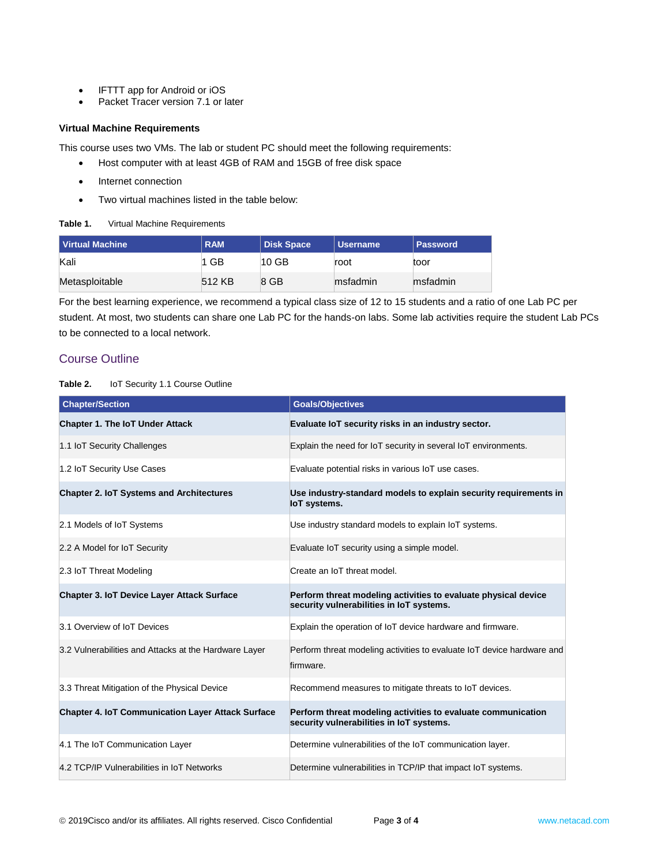- IFTTT app for Android or iOS
- Packet Tracer version 7.1 or later

#### **Virtual Machine Requirements**

This course uses two VMs. The lab or student PC should meet the following requirements:

- Host computer with at least 4GB of RAM and 15GB of free disk space
- Internet connection
- Two virtual machines listed in the table below:

| Table 1. |  | Virtual Machine Requirements |
|----------|--|------------------------------|
|          |  |                              |

| Virtual Machine | <b>RAM</b> | <b>Disk Space</b> | Username | <b>Password</b> |
|-----------------|------------|-------------------|----------|-----------------|
| Kali            | 1 GB       | $10$ GB           | root     | toor            |
| Metasploitable  | 512 KB     | 8 GB              | msfadmin | msfadmin        |

For the best learning experience, we recommend a typical class size of 12 to 15 students and a ratio of one Lab PC per student. At most, two students can share one Lab PC for the hands-on labs. Some lab activities require the student Lab PCs to be connected to a local network.

## Course Outline

#### **Table 2.** IoT Security 1.1 Course Outline

| <b>Chapter/Section</b>                                   | <b>Goals/Objectives</b>                                                                                    |
|----------------------------------------------------------|------------------------------------------------------------------------------------------------------------|
| <b>Chapter 1. The IoT Under Attack</b>                   | Evaluate IoT security risks in an industry sector.                                                         |
| 1.1 IoT Security Challenges                              | Explain the need for IoT security in several IoT environments.                                             |
| 1.2 IoT Security Use Cases                               | Evaluate potential risks in various IoT use cases.                                                         |
| <b>Chapter 2. IoT Systems and Architectures</b>          | Use industry-standard models to explain security requirements in<br><b>IoT</b> systems.                    |
| 2.1 Models of IoT Systems                                | Use industry standard models to explain IoT systems.                                                       |
| 2.2 A Model for IoT Security                             | Evaluate IoT security using a simple model.                                                                |
| 2.3 IoT Threat Modeling                                  | Create an IoT threat model.                                                                                |
| <b>Chapter 3. IoT Device Layer Attack Surface</b>        | Perform threat modeling activities to evaluate physical device<br>security vulnerabilities in IoT systems. |
| 3.1 Overview of IoT Devices                              | Explain the operation of IoT device hardware and firmware.                                                 |
| 3.2 Vulnerabilities and Attacks at the Hardware Layer    | Perform threat modeling activities to evaluate IoT device hardware and<br>firmware.                        |
| 3.3 Threat Mitigation of the Physical Device             | Recommend measures to mitigate threats to IoT devices.                                                     |
| <b>Chapter 4. IoT Communication Layer Attack Surface</b> | Perform threat modeling activities to evaluate communication<br>security vulnerabilities in IoT systems.   |
| 4.1 The IoT Communication Layer                          | Determine vulnerabilities of the IoT communication layer.                                                  |
| 4.2 TCP/IP Vulnerabilities in IoT Networks               | Determine vulnerabilities in TCP/IP that impact IoT systems.                                               |